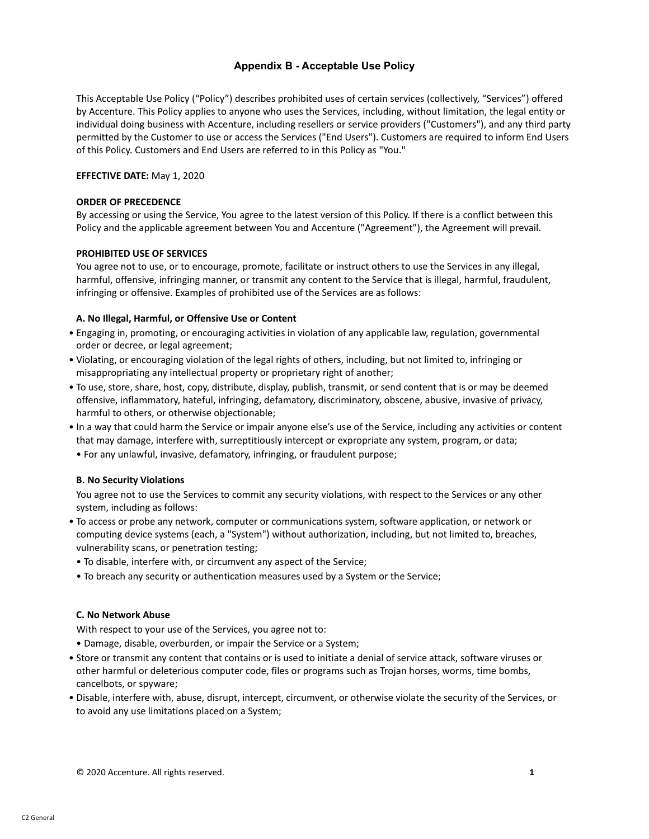# **Appendix B - Acceptable Use Policy**

This Acceptable Use Policy ("Policy") describes prohibited uses of certain services (collectively, "Services") offered by Accenture. This Policy applies to anyone who uses the Services, including, without limitation, the legal entity or individual doing business with Accenture, including resellers or service providers ("Customers"), and any third party permitted by the Customer to use or access the Services ("End Users"). Customers are required to inform End Users of this Policy. Customers and End Users are referred to in this Policy as "You."

## **EFFECTIVE DATE:** May 1, 2020

#### **ORDER OF PRECEDENCE**

By accessing or using the Service, You agree to the latest version of this Policy. If there is a conflict between this Policy and the applicable agreement between You and Accenture ("Agreement"), the Agreement will prevail.

## **PROHIBITED USE OF SERVICES**

You agree not to use, or to encourage, promote, facilitate or instruct others to use the Services in any illegal, harmful, offensive, infringing manner, or transmit any content to the Service that is illegal, harmful, fraudulent, infringing or offensive. Examples of prohibited use of the Services are as follows:

## **A. No Illegal, Harmful, or Offensive Use or Content**

- Engaging in, promoting, or encouraging activities in violation of any applicable law, regulation, governmental order or decree, or legal agreement;
- Violating, or encouraging violation of the legal rights of others, including, but not limited to, infringing or misappropriating any intellectual property or proprietary right of another;
- To use, store, share, host, copy, distribute, display, publish, transmit, or send content that is or may be deemed offensive, inflammatory, hateful, infringing, defamatory, discriminatory, obscene, abusive, invasive of privacy, harmful to others, or otherwise objectionable;
- In a way that could harm the Service or impair anyone else's use of the Service, including any activities or content that may damage, interfere with, surreptitiously intercept or expropriate any system, program, or data;
- For any unlawful, invasive, defamatory, infringing, or fraudulent purpose;

#### **B. No Security Violations**

You agree not to use the Services to commit any security violations, with respect to the Services or any other system, including as follows:

- To access or probe any network, computer or communications system, software application, or network or computing device systems (each, a "System") without authorization, including, but not limited to, breaches, vulnerability scans, or penetration testing;
	- To disable, interfere with, or circumvent any aspect of the Service;
- To breach any security or authentication measures used by a System or the Service;

#### **C. No Network Abuse**

With respect to your use of the Services, you agree not to:

- Damage, disable, overburden, or impair the Service or a System;
- Store or transmit any content that contains or is used to initiate a denial of service attack, software viruses or other harmful or deleterious computer code, files or programs such as Trojan horses, worms, time bombs, cancelbots, or spyware;
- Disable, interfere with, abuse, disrupt, intercept, circumvent, or otherwise violate the security of the Services, or to avoid any use limitations placed on a System;